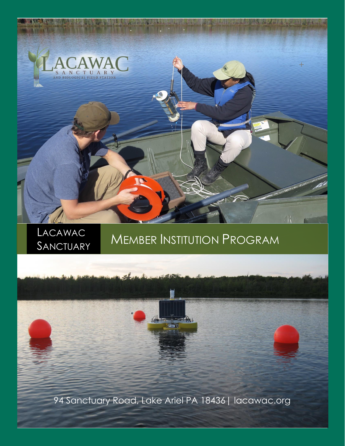

# LACAWAC MEMBER INSTITUTION PROGRAM

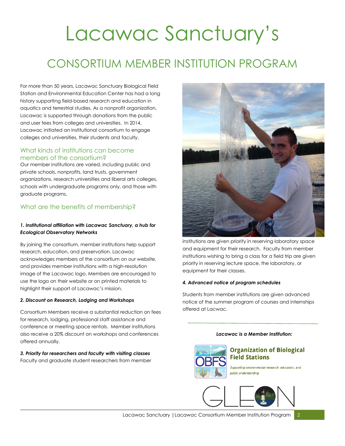# Lacawac Sanctuary's

### CONSORTIUM MEMBER INSTITUTION PROGRAM

For more than 50 years, Lacawac Sanctuary Biological Field Station and Environmental Education Center has had a long history supporting field-based research and education in aquatics and terrestrial studies. As a nonprofit organization, Lacawac is supported through donations from the public and user fees from colleges and universities. In 2014, Lacawac initiated an institutional consortium to engage colleges and universities, their students and faculty.

#### What kinds of institutions can become members of the consortium?

Our member institutions are varied, including public and private schools, nonprofits, land trusts, government organizations. research universities and liberal arts colleges, schools with undergraduate programs only, and those with graduate programs.

#### What are the benefits of membership?

#### *1. Institutional affiliation with Lacawac Sanctuary, a hub for Ecological Observatory Networks*

By joining the consortium, member institutions help support research, education, and preservation. Lacawac acknowledges members of the consortium on our website, and provides member institutions with a high-resolution image of the Lacawac logo. Members are encouraged to use the logo on their website or on printed materials to highlight their support of Lacawac's mission.

#### *2. Discount on Research, Lodging and Workshops*

Consortium Members receive a substantial reduction on fees for research, lodging, professional staff assistance and conference or meeting space rentals. Member institutions also receive a 20% discount on workshops and conferences offered annually.

#### *3. Priority for researchers and faculty with visiting classes*  Faculty and graduate student researchers from member



institutions are given priority in reserving laboratory space and equipment for their research. Faculty from member institutions wishing to bring a class for a field trip are given priority in reserving lecture space, the laboratory, or equipment for their classes.

#### *4. Advanced notice of program schedules*

Students from member institutions are given advanced notice of the summer program of courses and internships offered at Lacwac.

#### *Lacawac is a Member Institution:*



#### **Organization of Biological Field Stations**

Supporting environmental research, education, and public understanding